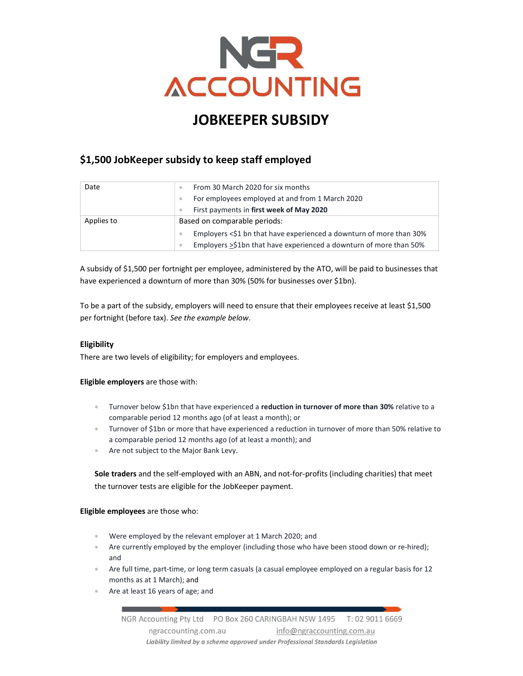

# JOBKEEPER SUBSIDY

# \$1,500 JobKeeper subsidy to keep staff employed

| Date       | From 30 March 2020 for six months                                               |  |
|------------|---------------------------------------------------------------------------------|--|
|            | For employees employed at and from 1 March 2020                                 |  |
|            | First payments in first week of May 2020                                        |  |
| Applies to | Based on comparable periods:                                                    |  |
|            | Employers <\$1 bn that have experienced a downturn of more than 30%             |  |
|            | Employers >\$1bn that have experienced a downturn of more than 50%<br>$\bullet$ |  |

A subsidy of \$1,500 per fortnight per employee, administered by the ATO, will be paid to businesses that have experienced a downturn of more than 30% (50% for businesses over \$1bn).

To be a part of the subsidy, employers will need to ensure that their employees receive at least \$1,500 per fortnight (before tax). See the example below.

# Eligibility

There are two levels of eligibility; for employers and employees.

# Eligible employers are those with:

- **Turnover below \$1bn that have experienced a reduction in turnover of more than 30%** relative to a comparable period 12 months ago (of at least a month); or
- Turnover of \$1bn or more that have experienced a reduction in turnover of more than 50% relative to a comparable period 12 months ago (of at least a month); and
- Are not subject to the Major Bank Levy.

Sole traders and the self-employed with an ABN, and not-for-profits (including charities) that meet the turnover tests are eligible for the JobKeeper payment.

Eligible employees are those who:

- Were employed by the relevant employer at 1 March 2020; and
- Are currently employed by the employer (including those who have been stood down or re-hired); and
- Are full time, part-time, or long term casuals (a casual employee employed on a regular basis for 12 months as at 1 March); and
- Are at least 16 years of age; and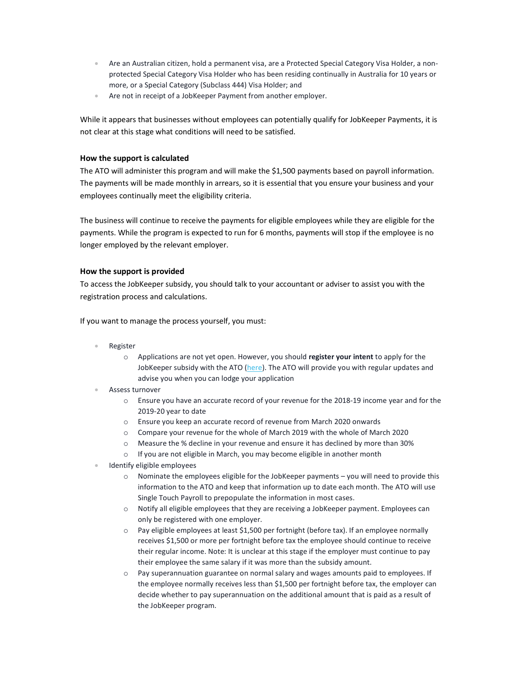- Are an Australian citizen, hold a permanent visa, are a Protected Special Category Visa Holder, a nonprotected Special Category Visa Holder who has been residing continually in Australia for 10 years or more, or a Special Category (Subclass 444) Visa Holder; and
- Are not in receipt of a JobKeeper Payment from another employer.

While it appears that businesses without employees can potentially qualify for JobKeeper Payments, it is not clear at this stage what conditions will need to be satisfied.

### How the support is calculated

The ATO will administer this program and will make the \$1,500 payments based on payroll information. The payments will be made monthly in arrears, so it is essential that you ensure your business and your employees continually meet the eligibility criteria.

The business will continue to receive the payments for eligible employees while they are eligible for the payments. While the program is expected to run for 6 months, payments will stop if the employee is no longer employed by the relevant employer.

### How the support is provided

To access the JobKeeper subsidy, you should talk to your accountant or adviser to assist you with the registration process and calculations.

If you want to manage the process yourself, you must:

- Register
	- o Applications are not yet open. However, you should register your intent to apply for the JobKeeper subsidy with the ATO (here). The ATO will provide you with regular updates and advise you when you can lodge your application
- Assess turnover
	- o Ensure you have an accurate record of your revenue for the 2018-19 income year and for the 2019-20 year to date
	- o Ensure you keep an accurate record of revenue from March 2020 onwards
	- o Compare your revenue for the whole of March 2019 with the whole of March 2020
	- o Measure the % decline in your revenue and ensure it has declined by more than 30%
	- o If you are not eligible in March, you may become eligible in another month
- Identify eligible employees
	- $\circ$  Nominate the employees eligible for the JobKeeper payments you will need to provide this information to the ATO and keep that information up to date each month. The ATO will use Single Touch Payroll to prepopulate the information in most cases.
	- $\circ$  Notify all eligible employees that they are receiving a JobKeeper payment. Employees can only be registered with one employer.
	- o Pay eligible employees at least \$1,500 per fortnight (before tax). If an employee normally receives \$1,500 or more per fortnight before tax the employee should continue to receive their regular income. Note: It is unclear at this stage if the employer must continue to pay their employee the same salary if it was more than the subsidy amount.
	- o Pay superannuation guarantee on normal salary and wages amounts paid to employees. If the employee normally receives less than \$1,500 per fortnight before tax, the employer can decide whether to pay superannuation on the additional amount that is paid as a result of the JobKeeper program.